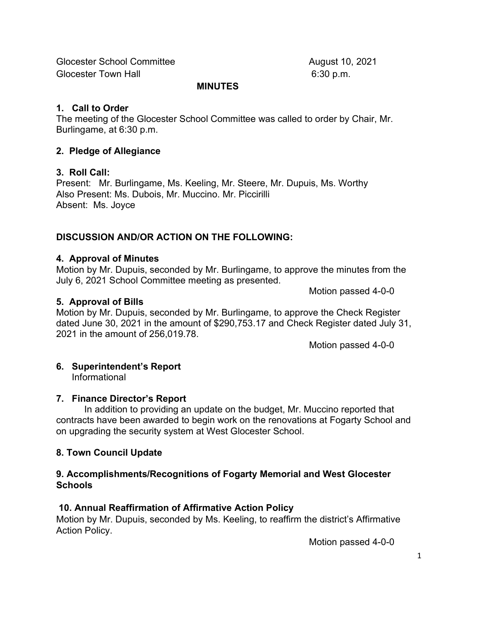Glocester School Committee August 10, 2021 Glocester Town Hall 6:30 p.m.

#### MINUTES

#### 1. Call to Order

The meeting of the Glocester School Committee was called to order by Chair, Mr. Burlingame, at 6:30 p.m.

### 2. Pledge of Allegiance

### 3. Roll Call:

Present: Mr. Burlingame, Ms. Keeling, Mr. Steere, Mr. Dupuis, Ms. Worthy Also Present: Ms. Dubois, Mr. Muccino. Mr. Piccirilli Absent: Ms. Joyce

## DISCUSSION AND/OR ACTION ON THE FOLLOWING:

#### 4. Approval of Minutes

Motion by Mr. Dupuis, seconded by Mr. Burlingame, to approve the minutes from the July 6, 2021 School Committee meeting as presented.

Motion passed 4-0-0

### 5. Approval of Bills

Motion by Mr. Dupuis, seconded by Mr. Burlingame, to approve the Check Register dated June 30, 2021 in the amount of \$290,753.17 and Check Register dated July 31, 2021 in the amount of 256,019.78.

Motion passed 4-0-0

# 6. Superintendent's Report

Informational

#### 7. Finance Director's Report

In addition to providing an update on the budget, Mr. Muccino reported that contracts have been awarded to begin work on the renovations at Fogarty School and on upgrading the security system at West Glocester School.

#### 8. Town Council Update

#### 9. Accomplishments/Recognitions of Fogarty Memorial and West Glocester **Schools**

## 10. Annual Reaffirmation of Affirmative Action Policy

Motion by Mr. Dupuis, seconded by Ms. Keeling, to reaffirm the district's Affirmative Action Policy.

Motion passed 4-0-0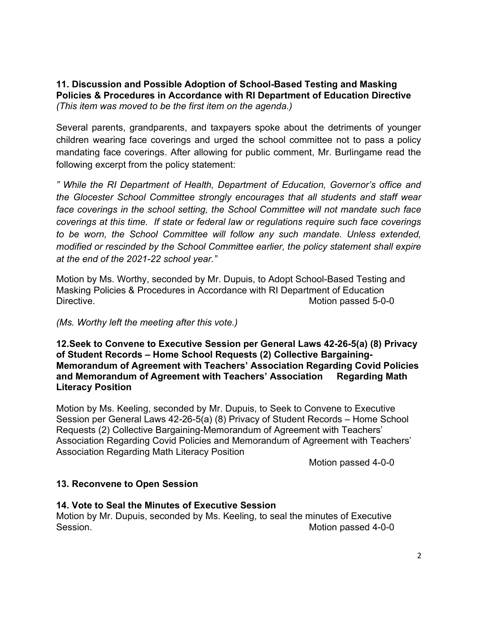11. Discussion and Possible Adoption of School-Based Testing and Masking Policies & Procedures in Accordance with RI Department of Education Directive (This item was moved to be the first item on the agenda.)

Several parents, grandparents, and taxpayers spoke about the detriments of younger children wearing face coverings and urged the school committee not to pass a policy mandating face coverings. After allowing for public comment, Mr. Burlingame read the following excerpt from the policy statement:

" While the RI Department of Health, Department of Education, Governor's office and the Glocester School Committee strongly encourages that all students and staff wear face coverings in the school setting, the School Committee will not mandate such face coverings at this time. If state or federal law or regulations require such face coverings to be worn, the School Committee will follow any such mandate. Unless extended, modified or rescinded by the School Committee earlier, the policy statement shall expire at the end of the 2021-22 school year."

Motion by Ms. Worthy, seconded by Mr. Dupuis, to Adopt School-Based Testing and Masking Policies & Procedures in Accordance with RI Department of Education Directive. Motion passed 5-0-0

(Ms. Worthy left the meeting after this vote.)

12.Seek to Convene to Executive Session per General Laws 42-26-5(a) (8) Privacy of Student Records – Home School Requests (2) Collective Bargaining-Memorandum of Agreement with Teachers' Association Regarding Covid Policies and Memorandum of Agreement with Teachers' Association Regarding Math Literacy Position

Motion by Ms. Keeling, seconded by Mr. Dupuis, to Seek to Convene to Executive Session per General Laws 42-26-5(a) (8) Privacy of Student Records – Home School Requests (2) Collective Bargaining-Memorandum of Agreement with Teachers' Association Regarding Covid Policies and Memorandum of Agreement with Teachers' Association Regarding Math Literacy Position

Motion passed 4-0-0

#### 13. Reconvene to Open Session

#### 14. Vote to Seal the Minutes of Executive Session

Motion by Mr. Dupuis, seconded by Ms. Keeling, to seal the minutes of Executive Session. Motion passed 4-0-0